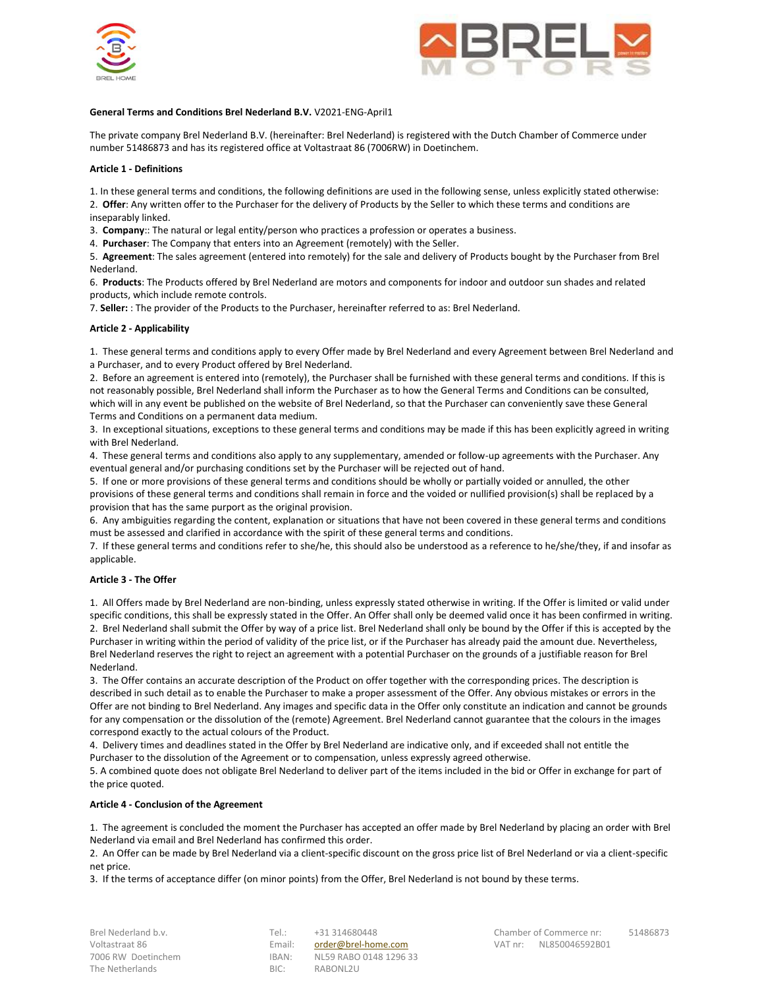



## **General Terms and Conditions Brel Nederland B.V.** V2021-ENG-April1

The private company Brel Nederland B.V. (hereinafter: Brel Nederland) is registered with the Dutch Chamber of Commerce under number 51486873 and has its registered office at Voltastraat 86 (7006RW) in Doetinchem.

### **Article 1 - Definitions**

1. In these general terms and conditions, the following definitions are used in the following sense, unless explicitly stated otherwise: 2. **Offer**: Any written offer to the Purchaser for the delivery of Products by the Seller to which these terms and conditions are inseparably linked.

3. **Company**:: The natural or legal entity/person who practices a profession or operates a business.

4. **Purchaser**: The Company that enters into an Agreement (remotely) with the Seller.

5. **Agreement**: The sales agreement (entered into remotely) for the sale and delivery of Products bought by the Purchaser from Brel Nederland.

6. **Products**: The Products offered by Brel Nederland are motors and components for indoor and outdoor sun shades and related products, which include remote controls.

7. **Seller:** : The provider of the Products to the Purchaser, hereinafter referred to as: Brel Nederland.

## **Article 2 - Applicability**

1. These general terms and conditions apply to every Offer made by Brel Nederland and every Agreement between Brel Nederland and a Purchaser, and to every Product offered by Brel Nederland.

2. Before an agreement is entered into (remotely), the Purchaser shall be furnished with these general terms and conditions. If this is not reasonably possible, Brel Nederland shall inform the Purchaser as to how the General Terms and Conditions can be consulted, which will in any event be published on the website of Brel Nederland, so that the Purchaser can conveniently save these General Terms and Conditions on a permanent data medium.

3. In exceptional situations, exceptions to these general terms and conditions may be made if this has been explicitly agreed in writing with Brel Nederland.

4. These general terms and conditions also apply to any supplementary, amended or follow-up agreements with the Purchaser. Any eventual general and/or purchasing conditions set by the Purchaser will be rejected out of hand.

5. If one or more provisions of these general terms and conditions should be wholly or partially voided or annulled, the other provisions of these general terms and conditions shall remain in force and the voided or nullified provision(s) shall be replaced by a provision that has the same purport as the original provision.

6. Any ambiguities regarding the content, explanation or situations that have not been covered in these general terms and conditions must be assessed and clarified in accordance with the spirit of these general terms and conditions.

7. If these general terms and conditions refer to she/he, this should also be understood as a reference to he/she/they, if and insofar as applicable.

### **Article 3 - The Offer**

1. All Offers made by Brel Nederland are non-binding, unless expressly stated otherwise in writing. If the Offer is limited or valid under specific conditions, this shall be expressly stated in the Offer. An Offer shall only be deemed valid once it has been confirmed in writing. 2. Brel Nederland shall submit the Offer by way of a price list. Brel Nederland shall only be bound by the Offer if this is accepted by the Purchaser in writing within the period of validity of the price list, or if the Purchaser has already paid the amount due. Nevertheless, Brel Nederland reserves the right to reject an agreement with a potential Purchaser on the grounds of a justifiable reason for Brel Nederland.

3. The Offer contains an accurate description of the Product on offer together with the corresponding prices. The description is described in such detail as to enable the Purchaser to make a proper assessment of the Offer. Any obvious mistakes or errors in the Offer are not binding to Brel Nederland. Any images and specific data in the Offer only constitute an indication and cannot be grounds for any compensation or the dissolution of the (remote) Agreement. Brel Nederland cannot guarantee that the colours in the images correspond exactly to the actual colours of the Product.

4. Delivery times and deadlines stated in the Offer by Brel Nederland are indicative only, and if exceeded shall not entitle the Purchaser to the dissolution of the Agreement or to compensation, unless expressly agreed otherwise.

5. A combined quote does not obligate Brel Nederland to deliver part of the items included in the bid or Offer in exchange for part of the price quoted.

### **Article 4 - Conclusion of the Agreement**

1. The agreement is concluded the moment the Purchaser has accepted an offer made by Brel Nederland by placing an order with Brel Nederland via email and Brel Nederland has confirmed this order.

2. An Offer can be made by Brel Nederland via a client-specific discount on the gross price list of Brel Nederland or via a client-specific net price.

3. If the terms of acceptance differ (on minor points) from the Offer, Brel Nederland is not bound by these terms.

| Brel Nederland b.v. |
|---------------------|
| Voltastraat 86      |
| 7006 RW Doetinchem  |
| The Netherlands     |

Email: [order@brel-home.com](mailto:order@brel-home.com) VAT nr: NL850046592B01 1BAN: NL59 RABO 0148 1296 33 BIC: RABONL2U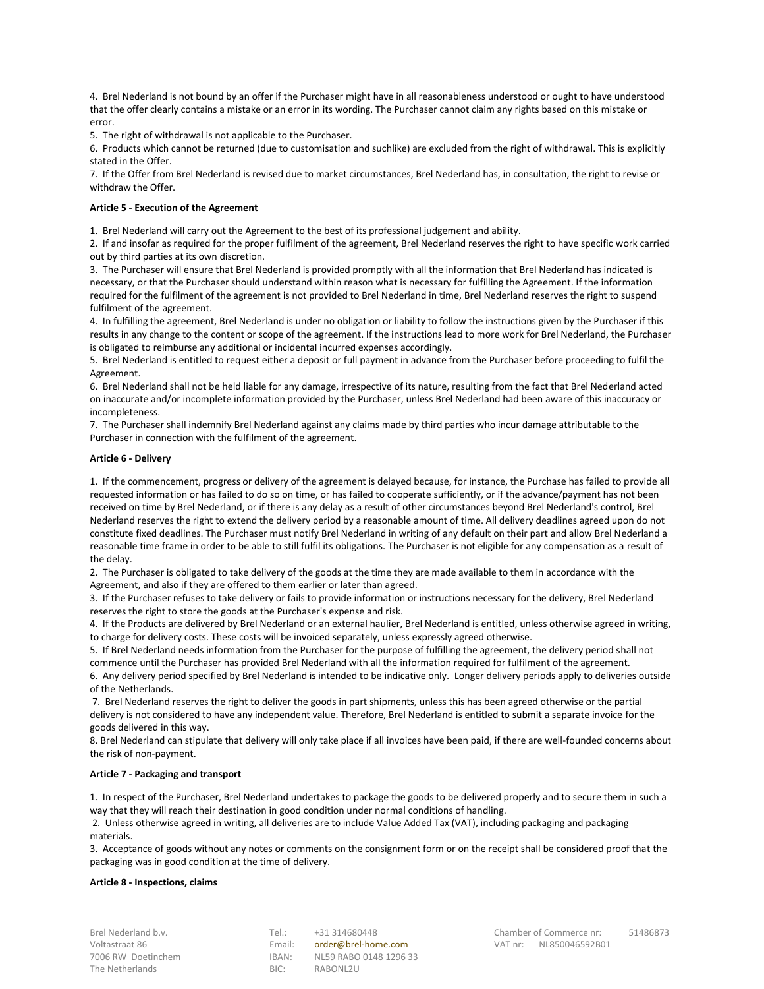4. Brel Nederland is not bound by an offer if the Purchaser might have in all reasonableness understood or ought to have understood that the offer clearly contains a mistake or an error in its wording. The Purchaser cannot claim any rights based on this mistake or error.

5. The right of withdrawal is not applicable to the Purchaser.

6. Products which cannot be returned (due to customisation and suchlike) are excluded from the right of withdrawal. This is explicitly stated in the Offer.

7. If the Offer from Brel Nederland is revised due to market circumstances, Brel Nederland has, in consultation, the right to revise or withdraw the Offer.

## **Article 5 - Execution of the Agreement**

1. Brel Nederland will carry out the Agreement to the best of its professional judgement and ability.

2. If and insofar as required for the proper fulfilment of the agreement, Brel Nederland reserves the right to have specific work carried out by third parties at its own discretion.

3. The Purchaser will ensure that Brel Nederland is provided promptly with all the information that Brel Nederland has indicated is necessary, or that the Purchaser should understand within reason what is necessary for fulfilling the Agreement. If the information required for the fulfilment of the agreement is not provided to Brel Nederland in time, Brel Nederland reserves the right to suspend fulfilment of the agreement.

4. In fulfilling the agreement, Brel Nederland is under no obligation or liability to follow the instructions given by the Purchaser if this results in any change to the content or scope of the agreement. If the instructions lead to more work for Brel Nederland, the Purchaser is obligated to reimburse any additional or incidental incurred expenses accordingly.

5. Brel Nederland is entitled to request either a deposit or full payment in advance from the Purchaser before proceeding to fulfil the Agreement.

6. Brel Nederland shall not be held liable for any damage, irrespective of its nature, resulting from the fact that Brel Nederland acted on inaccurate and/or incomplete information provided by the Purchaser, unless Brel Nederland had been aware of this inaccuracy or incompleteness.

7. The Purchaser shall indemnify Brel Nederland against any claims made by third parties who incur damage attributable to the Purchaser in connection with the fulfilment of the agreement.

## **Article 6 - Delivery**

1. If the commencement, progress or delivery of the agreement is delayed because, for instance, the Purchase has failed to provide all requested information or has failed to do so on time, or has failed to cooperate sufficiently, or if the advance/payment has not been received on time by Brel Nederland, or if there is any delay as a result of other circumstances beyond Brel Nederland's control, Brel Nederland reserves the right to extend the delivery period by a reasonable amount of time. All delivery deadlines agreed upon do not constitute fixed deadlines. The Purchaser must notify Brel Nederland in writing of any default on their part and allow Brel Nederland a reasonable time frame in order to be able to still fulfil its obligations. The Purchaser is not eligible for any compensation as a result of the delay.

2. The Purchaser is obligated to take delivery of the goods at the time they are made available to them in accordance with the Agreement, and also if they are offered to them earlier or later than agreed.

3. If the Purchaser refuses to take delivery or fails to provide information or instructions necessary for the delivery, Brel Nederland reserves the right to store the goods at the Purchaser's expense and risk.

4. If the Products are delivered by Brel Nederland or an external haulier, Brel Nederland is entitled, unless otherwise agreed in writing, to charge for delivery costs. These costs will be invoiced separately, unless expressly agreed otherwise.

5. If Brel Nederland needs information from the Purchaser for the purpose of fulfilling the agreement, the delivery period shall not commence until the Purchaser has provided Brel Nederland with all the information required for fulfilment of the agreement. 6. Any delivery period specified by Brel Nederland is intended to be indicative only. Longer delivery periods apply to deliveries outside of the Netherlands.

7. Brel Nederland reserves the right to deliver the goods in part shipments, unless this has been agreed otherwise or the partial delivery is not considered to have any independent value. Therefore, Brel Nederland is entitled to submit a separate invoice for the goods delivered in this way.

8. Brel Nederland can stipulate that delivery will only take place if all invoices have been paid, if there are well-founded concerns about the risk of non-payment.

### **Article 7 - Packaging and transport**

1. In respect of the Purchaser, Brel Nederland undertakes to package the goods to be delivered properly and to secure them in such a way that they will reach their destination in good condition under normal conditions of handling.

2. Unless otherwise agreed in writing, all deliveries are to include Value Added Tax (VAT), including packaging and packaging materials.

3. Acceptance of goods without any notes or comments on the consignment form or on the receipt shall be considered proof that the packaging was in good condition at the time of delivery.

### **Article 8 - Inspections, claims**

The Netherlands **BIC:** RABONL2U

Voltastraat 86 **Email:** Communication Email: Communication Communication Communication Communication VAT nr: NL850046592B01 7006 RW Doetinchem IBAN: NL59 RABO 0148 1296 33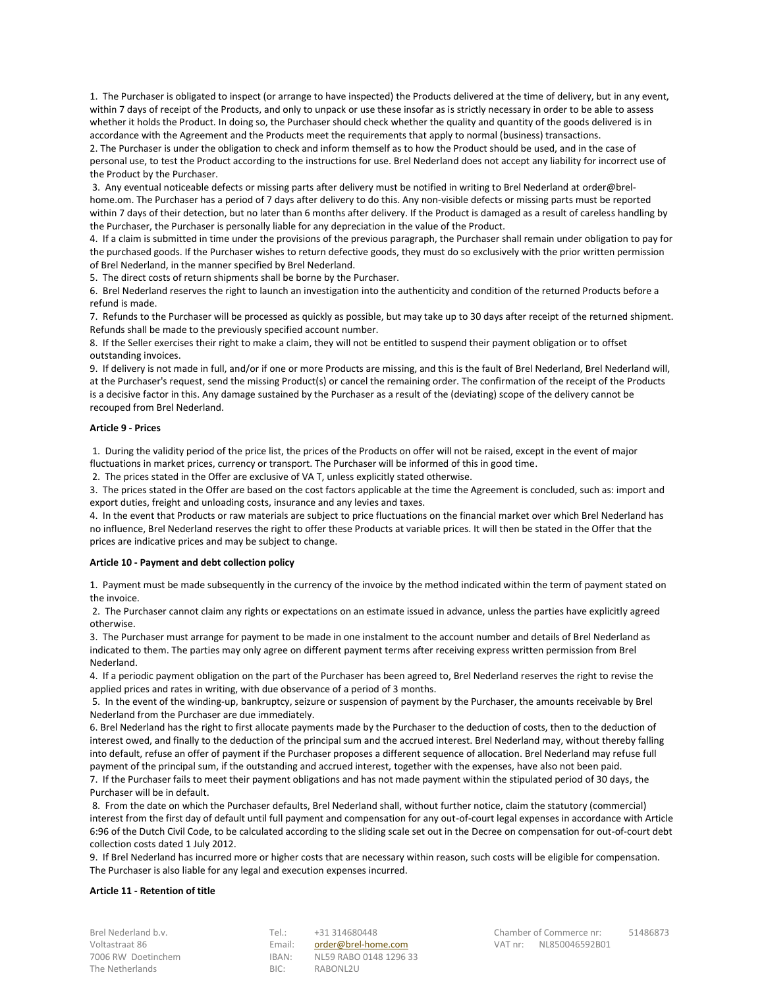1. The Purchaser is obligated to inspect (or arrange to have inspected) the Products delivered at the time of delivery, but in any event, within 7 days of receipt of the Products, and only to unpack or use these insofar as is strictly necessary in order to be able to assess whether it holds the Product. In doing so, the Purchaser should check whether the quality and quantity of the goods delivered is in accordance with the Agreement and the Products meet the requirements that apply to normal (business) transactions.

2. The Purchaser is under the obligation to check and inform themself as to how the Product should be used, and in the case of personal use, to test the Product according to the instructions for use. Brel Nederland does not accept any liability for incorrect use of the Product by the Purchaser.

3. Any eventual noticeable defects or missing parts after delivery must be notified in writing to Brel Nederland at order@brelhome.om. The Purchaser has a period of 7 days after delivery to do this. Any non-visible defects or missing parts must be reported within 7 days of their detection, but no later than 6 months after delivery. If the Product is damaged as a result of careless handling by the Purchaser, the Purchaser is personally liable for any depreciation in the value of the Product.

4. If a claim is submitted in time under the provisions of the previous paragraph, the Purchaser shall remain under obligation to pay for the purchased goods. If the Purchaser wishes to return defective goods, they must do so exclusively with the prior written permission of Brel Nederland, in the manner specified by Brel Nederland.

5. The direct costs of return shipments shall be borne by the Purchaser.

6. Brel Nederland reserves the right to launch an investigation into the authenticity and condition of the returned Products before a refund is made.

7. Refunds to the Purchaser will be processed as quickly as possible, but may take up to 30 days after receipt of the returned shipment. Refunds shall be made to the previously specified account number.

8. If the Seller exercises their right to make a claim, they will not be entitled to suspend their payment obligation or to offset outstanding invoices.

9. If delivery is not made in full, and/or if one or more Products are missing, and this is the fault of Brel Nederland, Brel Nederland will, at the Purchaser's request, send the missing Product(s) or cancel the remaining order. The confirmation of the receipt of the Products is a decisive factor in this. Any damage sustained by the Purchaser as a result of the (deviating) scope of the delivery cannot be recouped from Brel Nederland.

## **Article 9 - Prices**

1. During the validity period of the price list, the prices of the Products on offer will not be raised, except in the event of major fluctuations in market prices, currency or transport. The Purchaser will be informed of this in good time.

2. The prices stated in the Offer are exclusive of VA T, unless explicitly stated otherwise.

3. The prices stated in the Offer are based on the cost factors applicable at the time the Agreement is concluded, such as: import and export duties, freight and unloading costs, insurance and any levies and taxes.

4. In the event that Products or raw materials are subject to price fluctuations on the financial market over which Brel Nederland has no influence, Brel Nederland reserves the right to offer these Products at variable prices. It will then be stated in the Offer that the prices are indicative prices and may be subject to change.

## **Article 10 - Payment and debt collection policy**

1. Payment must be made subsequently in the currency of the invoice by the method indicated within the term of payment stated on the invoice.

2. The Purchaser cannot claim any rights or expectations on an estimate issued in advance, unless the parties have explicitly agreed otherwise.

3. The Purchaser must arrange for payment to be made in one instalment to the account number and details of Brel Nederland as indicated to them. The parties may only agree on different payment terms after receiving express written permission from Brel Nederland.

4. If a periodic payment obligation on the part of the Purchaser has been agreed to, Brel Nederland reserves the right to revise the applied prices and rates in writing, with due observance of a period of 3 months.

5. In the event of the winding-up, bankruptcy, seizure or suspension of payment by the Purchaser, the amounts receivable by Brel Nederland from the Purchaser are due immediately.

6. Brel Nederland has the right to first allocate payments made by the Purchaser to the deduction of costs, then to the deduction of interest owed, and finally to the deduction of the principal sum and the accrued interest. Brel Nederland may, without thereby falling into default, refuse an offer of payment if the Purchaser proposes a different sequence of allocation. Brel Nederland may refuse full payment of the principal sum, if the outstanding and accrued interest, together with the expenses, have also not been paid.

7. If the Purchaser fails to meet their payment obligations and has not made payment within the stipulated period of 30 days, the Purchaser will be in default.

8. From the date on which the Purchaser defaults, Brel Nederland shall, without further notice, claim the statutory (commercial) interest from the first day of default until full payment and compensation for any out-of-court legal expenses in accordance with Article 6:96 of the Dutch Civil Code, to be calculated according to the sliding scale set out in the Decree on compensation for out-of-court debt collection costs dated 1 July 2012.

9. If Brel Nederland has incurred more or higher costs that are necessary within reason, such costs will be eligible for compensation. The Purchaser is also liable for any legal and execution expenses incurred.

## **Article 11 - Retention of title**

The Netherlands **BIC:** RABONL2U

Voltastraat 86 **Email:** Communication Email: Communication Communication Communication Communication VAT nr: NL850046592B01 7006 RW Doetinchem IBAN: NL59 RABO 0148 1296 33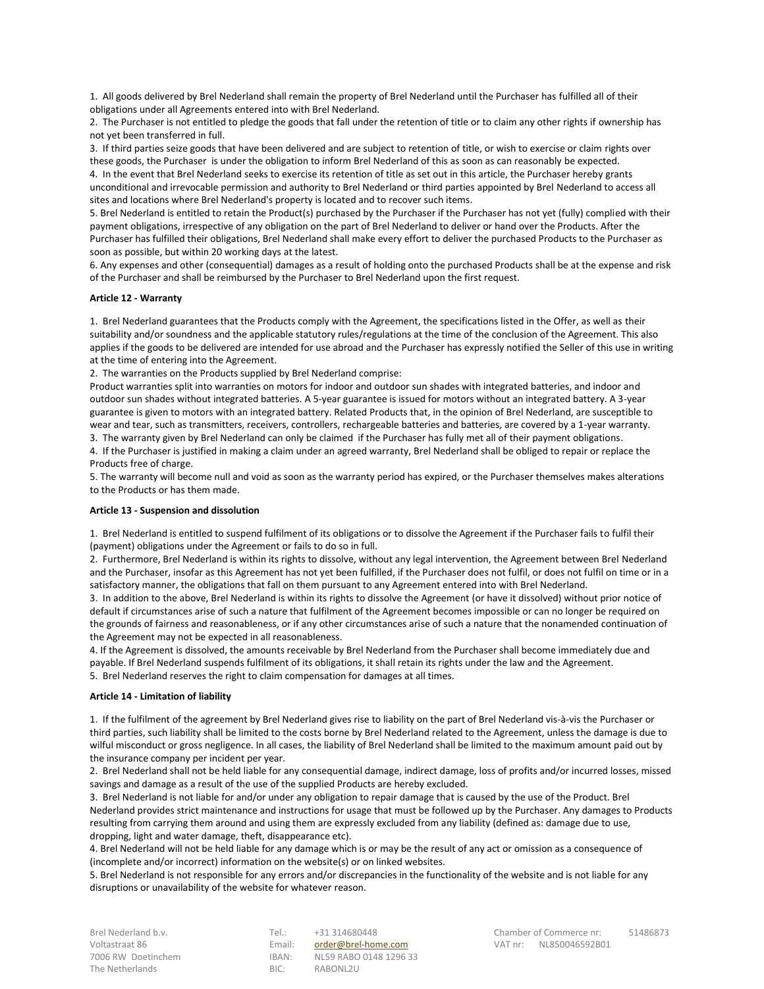1. All goods delivered by Brel Nederland shall remain the property of Brel Nederland until the Purchaser has fulfilled all of their obligations under all Agreements entered into with Brel Nederland.

2. The Purchaser is not entitled to pledge the goods that fall under the retention of title or to claim any other rights if ownership has not yet been transferred in full.

3. If third parties seize goods that have been delivered and are subject to retention of title, or wish to exercise or claim rights over these goods, the Purchaser is under the obligation to inform Brel Nederland of this as soon as can reasonably be expected.

4. In the event that Brel Nederland seeks to exercise its retention of title as set out in this article, the Purchaser hereby grants unconditional and irrevocable permission and authority to Brel Nederland or third parties appointed by Brel Nederland to access all sites and locations where Brel Nederland's property is located and to recover such items.

5. Brel Nederland is entitled to retain the Product(s) purchased by the Purchaser if the Purchaser has not yet (fully) complied with their payment obligations, irrespective of any obligation on the part of Brel Nederland to deliver or hand over the Products. After the Purchaser has fulfilled their obligations, Brel Nederland shall make every effort to deliver the purchased Products to the Purchaser as soon as possible, but within 20 working days at the latest.

6. Any expenses and other (consequential) damages as a result of holding onto the purchased Products shall be at the expense and risk of the Purchaser and shall be reimbursed by the Purchaser to Brel Nederland upon the first request.

## **Article 12 - Warranty**

1. Brel Nederland guarantees that the Products comply with the Agreement, the specifications listed in the Offer, as well as their suitability and/or soundness and the applicable statutory rules/regulations at the time of the conclusion of the Agreement. This also applies if the goods to be delivered are intended for use abroad and the Purchaser has expressly notified the Seller of this use in writing at the time of entering into the Agreement.

2. The warranties on the Products supplied by Brel Nederland comprise:

Product warranties split into warranties on motors for indoor and outdoor sun shades with integrated batteries, and indoor and outdoor sun shades without integrated batteries. A 5-year guarantee is issued for motors without an integrated battery. A 3-year guarantee is given to motors with an integrated battery. Related Products that, in the opinion of Brel Nederland, are susceptible to wear and tear, such as transmitters, receivers, controllers, rechargeable batteries and batteries, are covered by a 1-year warranty.

3. The warranty given by Brel Nederland can only be claimed if the Purchaser has fully met all of their payment obligations.

4. If the Purchaser is justified in making a claim under an agreed warranty, Brel Nederland shall be obliged to repair or replace the Products free of charge.

5. The warranty will become null and void as soon as the warranty period has expired, or the Purchaser themselves makes alterations to the Products or has them made.

### **Article 13 - Suspension and dissolution**

1. Brel Nederland is entitled to suspend fulfilment of its obligations or to dissolve the Agreement if the Purchaser fails to fulfil their (payment) obligations under the Agreement or fails to do so in full.

2. Furthermore, Brel Nederland is within its rights to dissolve, without any legal intervention, the Agreement between Brel Nederland and the Purchaser, insofar as this Agreement has not yet been fulfilled, if the Purchaser does not fulfil, or does not fulfil on time or in a satisfactory manner, the obligations that fall on them pursuant to any Agreement entered into with Brel Nederland.

3. In addition to the above, Brel Nederland is within its rights to dissolve the Agreement (or have it dissolved) without prior notice of default if circumstances arise of such a nature that fulfilment of the Agreement becomes impossible or can no longer be required on the grounds of fairness and reasonableness, or if any other circumstances arise of such a nature that the nonamended continuation of the Agreement may not be expected in all reasonableness.

4. If the Agreement is dissolved, the amounts receivable by Brel Nederland from the Purchaser shall become immediately due and payable. If Brel Nederland suspends fulfilment of its obligations, it shall retain its rights under the law and the Agreement. 5. Brel Nederland reserves the right to claim compensation for damages at all times.

### **Article 14 - Limitation of liability**

1. If the fulfilment of the agreement by Brel Nederland gives rise to liability on the part of Brel Nederland vis-à-vis the Purchaser or third parties, such liability shall be limited to the costs borne by Brel Nederland related to the Agreement, unless the damage is due to wilful misconduct or gross negligence. In all cases, the liability of Brel Nederland shall be limited to the maximum amount paid out by the insurance company per incident per year.

2. Brel Nederland shall not be held liable for any consequential damage, indirect damage, loss of profits and/or incurred losses, missed savings and damage as a result of the use of the supplied Products are hereby excluded.

3. Brel Nederland is not liable for and/or under any obligation to repair damage that is caused by the use of the Product. Brel Nederland provides strict maintenance and instructions for usage that must be followed up by the Purchaser. Any damages to Products resulting from carrying them around and using them are expressly excluded from any liability (defined as: damage due to use, dropping, light and water damage, theft, disappearance etc).

4. Brel Nederland will not be held liable for any damage which is or may be the result of any act or omission as a consequence of (incomplete and/or incorrect) information on the website(s) or on linked websites.

5. Brel Nederland is not responsible for any errors and/or discrepancies in the functionality of the website and is not liable for any disruptions or unavailability of the website for whatever reason.

The Netherlands **BIC:** RABONL2U

Voltastraat 86 **Email:** Cometan Computer of Lagrange Computer State Computer State Computer State Computer State Computer State Computer State Computer State Computer State Computer State Computer State Computer State Comp 7006 RW Doetinchem IBAN: NL59 RABO 0148 1296 33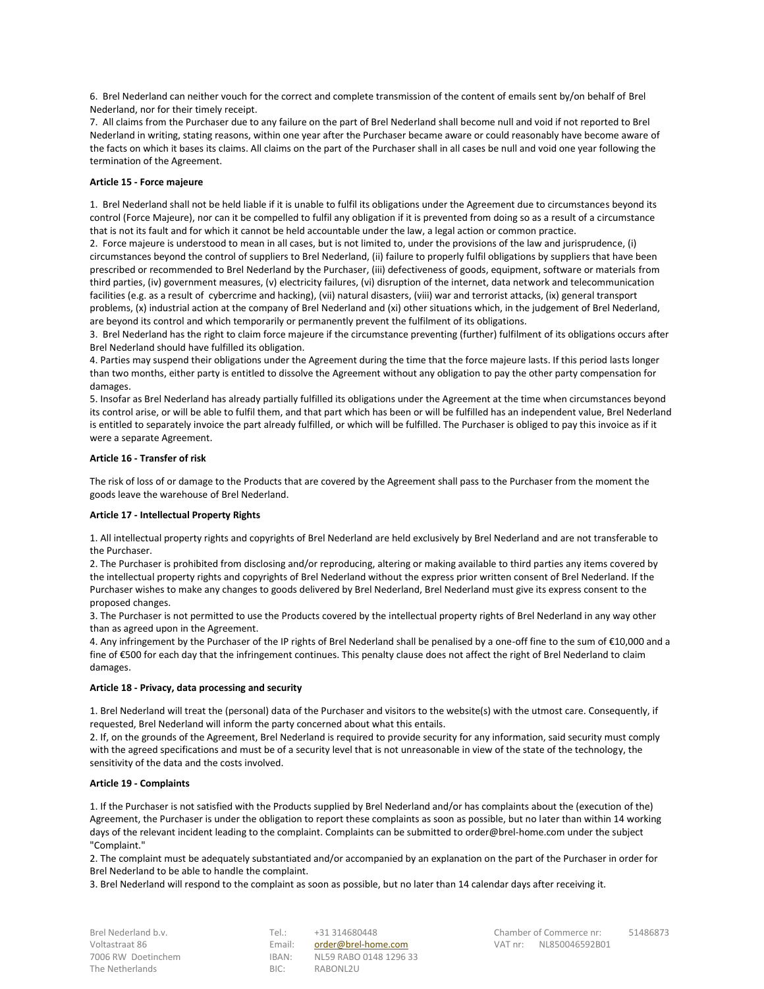6. Brel Nederland can neither vouch for the correct and complete transmission of the content of emails sent by/on behalf of Brel Nederland, nor for their timely receipt.

7. All claims from the Purchaser due to any failure on the part of Brel Nederland shall become null and void if not reported to Brel Nederland in writing, stating reasons, within one year after the Purchaser became aware or could reasonably have become aware of the facts on which it bases its claims. All claims on the part of the Purchaser shall in all cases be null and void one year following the termination of the Agreement.

## **Article 15 - Force majeure**

1. Brel Nederland shall not be held liable if it is unable to fulfil its obligations under the Agreement due to circumstances beyond its control (Force Majeure), nor can it be compelled to fulfil any obligation if it is prevented from doing so as a result of a circumstance that is not its fault and for which it cannot be held accountable under the law, a legal action or common practice.

2. Force majeure is understood to mean in all cases, but is not limited to, under the provisions of the law and jurisprudence, (i) circumstances beyond the control of suppliers to Brel Nederland, (ii) failure to properly fulfil obligations by suppliers that have been prescribed or recommended to Brel Nederland by the Purchaser, (iii) defectiveness of goods, equipment, software or materials from third parties, (iv) government measures, (v) electricity failures, (vi) disruption of the internet, data network and telecommunication facilities (e.g. as a result of cybercrime and hacking), (vii) natural disasters, (viii) war and terrorist attacks, (ix) general transport problems, (x) industrial action at the company of Brel Nederland and (xi) other situations which, in the judgement of Brel Nederland, are beyond its control and which temporarily or permanently prevent the fulfilment of its obligations.

3. Brel Nederland has the right to claim force majeure if the circumstance preventing (further) fulfilment of its obligations occurs after Brel Nederland should have fulfilled its obligation.

4. Parties may suspend their obligations under the Agreement during the time that the force majeure lasts. If this period lasts longer than two months, either party is entitled to dissolve the Agreement without any obligation to pay the other party compensation for damages.

5. Insofar as Brel Nederland has already partially fulfilled its obligations under the Agreement at the time when circumstances beyond its control arise, or will be able to fulfil them, and that part which has been or will be fulfilled has an independent value, Brel Nederland is entitled to separately invoice the part already fulfilled, or which will be fulfilled. The Purchaser is obliged to pay this invoice as if it were a separate Agreement.

## **Article 16 - Transfer of risk**

The risk of loss of or damage to the Products that are covered by the Agreement shall pass to the Purchaser from the moment the goods leave the warehouse of Brel Nederland.

### **Article 17 - Intellectual Property Rights**

1. All intellectual property rights and copyrights of Brel Nederland are held exclusively by Brel Nederland and are not transferable to the Purchaser.

2. The Purchaser is prohibited from disclosing and/or reproducing, altering or making available to third parties any items covered by the intellectual property rights and copyrights of Brel Nederland without the express prior written consent of Brel Nederland. If the Purchaser wishes to make any changes to goods delivered by Brel Nederland, Brel Nederland must give its express consent to the proposed changes.

3. The Purchaser is not permitted to use the Products covered by the intellectual property rights of Brel Nederland in any way other than as agreed upon in the Agreement.

4. Any infringement by the Purchaser of the IP rights of Brel Nederland shall be penalised by a one-off fine to the sum of  $\epsilon$ 10,000 and a fine of €500 for each day that the infringement continues. This penalty clause does not affect the right of Brel Nederland to claim damages.

### **Article 18 - Privacy, data processing and security**

1. Brel Nederland will treat the (personal) data of the Purchaser and visitors to the website(s) with the utmost care. Consequently, if requested, Brel Nederland will inform the party concerned about what this entails.

2. If, on the grounds of the Agreement, Brel Nederland is required to provide security for any information, said security must comply with the agreed specifications and must be of a security level that is not unreasonable in view of the state of the technology, the sensitivity of the data and the costs involved.

### **Article 19 - Complaints**

1. If the Purchaser is not satisfied with the Products supplied by Brel Nederland and/or has complaints about the (execution of the) Agreement, the Purchaser is under the obligation to report these complaints as soon as possible, but no later than within 14 working days of the relevant incident leading to the complaint. Complaints can be submitted to order@brel-home.com under the subject "Complaint."

2. The complaint must be adequately substantiated and/or accompanied by an explanation on the part of the Purchaser in order for Brel Nederland to be able to handle the complaint.

3. Brel Nederland will respond to the complaint as soon as possible, but no later than 14 calendar days after receiving it.

The Netherlands **BIC:** RABONL2U

Voltastraat 86 **Email:** [order@brel-home.com](mailto:order@brel-home.com) **VAT nr: NL850046592B01** VAT nr: 7006 RW Doetinchem IBAN: NL59 RABO 0148 1296 33